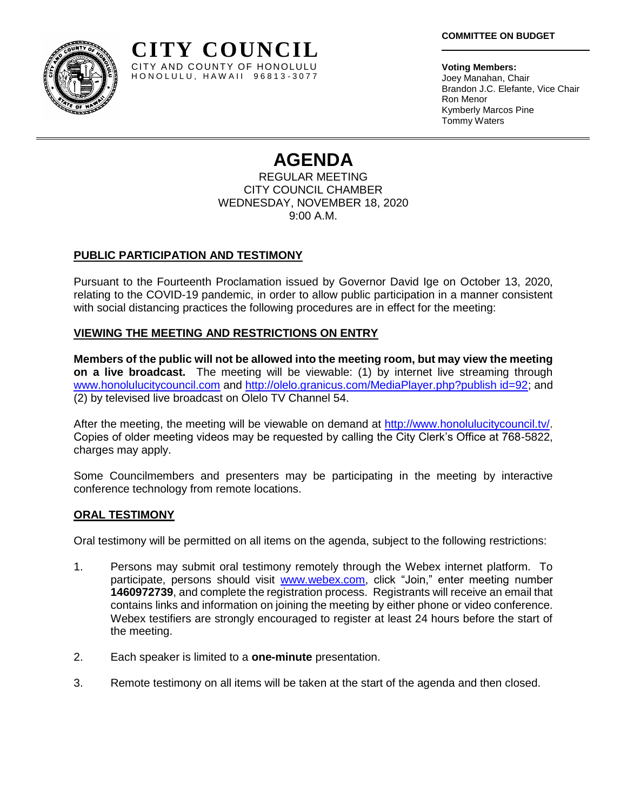**Voting Members:** Joey Manahan, Chair Brandon J.C. Elefante, Vice Chair Ron Menor Kymberly Marcos Pine Tommy Waters

# **AGENDA**

REGULAR MEETING CITY COUNCIL CHAMBER WEDNESDAY, NOVEMBER 18, 2020 9:00 A.M.

## **PUBLIC PARTICIPATION AND TESTIMONY**

Pursuant to the Fourteenth Proclamation issued by Governor David Ige on October 13, 2020, relating to the COVID-19 pandemic, in order to allow public participation in a manner consistent with social distancing practices the following procedures are in effect for the meeting:

### **VIEWING THE MEETING AND RESTRICTIONS ON ENTRY**

**CITY COUNCIL** CITY AND COUNTY OF HONOLULU HONOLULU, HAWAII 96813-3077

**Members of the public will not be allowed into the meeting room, but may view the meeting on a live broadcast.** The meeting will be viewable: (1) by internet live streaming through [www.honolulucitycouncil.com](http://www.honolulucitycouncil.com/) and [http://olelo.granicus.com/MediaPlayer.php?publish id=92;](http://olelo.granicus.com/MediaPlayer.php?publish%20id=92) and (2) by televised live broadcast on Olelo TV Channel 54.

After the meeting, the meeting will be viewable on demand at [http://www.honolulucitycouncil.tv/.](http://www.honolulucitycouncil.tv/) Copies of older meeting videos may be requested by calling the City Clerk's Office at 768-5822, charges may apply.

Some Councilmembers and presenters may be participating in the meeting by interactive conference technology from remote locations.

#### **ORAL TESTIMONY**

Oral testimony will be permitted on all items on the agenda, subject to the following restrictions:

- 1. Persons may submit oral testimony remotely through the Webex internet platform. To participate, persons should visit [www.webex.com,](http://www.webex.com/) click "Join," enter meeting number **1460972739**, and complete the registration process. Registrants will receive an email that contains links and information on joining the meeting by either phone or video conference. Webex testifiers are strongly encouraged to register at least 24 hours before the start of the meeting.
- 2. Each speaker is limited to a **one-minute** presentation.
- 3. Remote testimony on all items will be taken at the start of the agenda and then closed.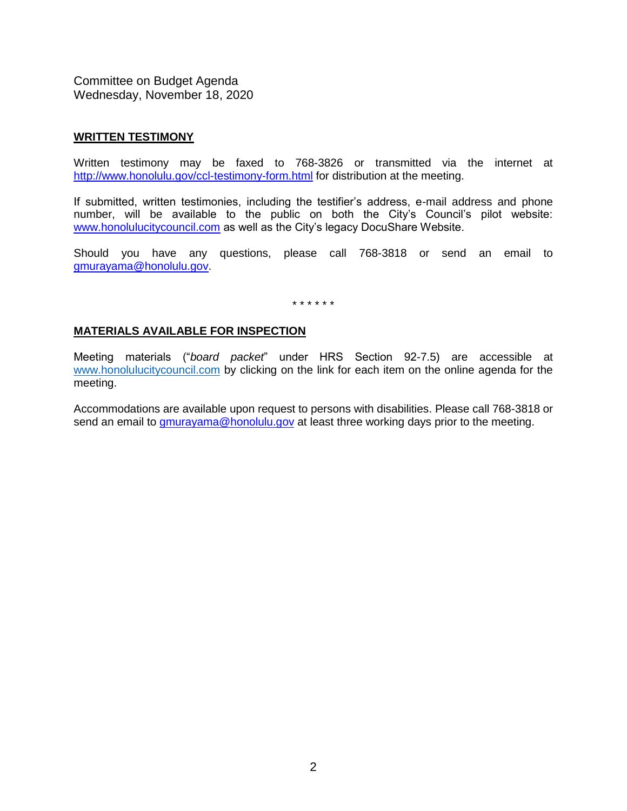#### **WRITTEN TESTIMONY**

Written testimony may be faxed to 768-3826 or transmitted via the internet at <http://www.honolulu.gov/ccl-testimony-form.html> for distribution at the meeting.

If submitted, written testimonies, including the testifier's address, e-mail address and phone number, will be available to the public on both the City's Council's pilot website: [www.honolulucitycouncil.com](http://www.honolulucitycouncil.com/) as well as the City's legacy DocuShare Website.

Should you have any questions, please call 768-3818 or send an email to [gmurayama@honolulu.gov.](mailto:gmurayama@honolulu.gov)

\* \* \* \* \* \*

#### **MATERIALS AVAILABLE FOR INSPECTION**

Meeting materials ("*board packet*" under HRS Section 92-7.5) are accessible at [www.honolulucitycouncil.com](http://www.honolulucitycouncil.com/) by clicking on the link for each item on the online agenda for the meeting.

Accommodations are available upon request to persons with disabilities. Please call 768-3818 or send an email to **gmurayama@honolulu.gov** at least three working days prior to the meeting.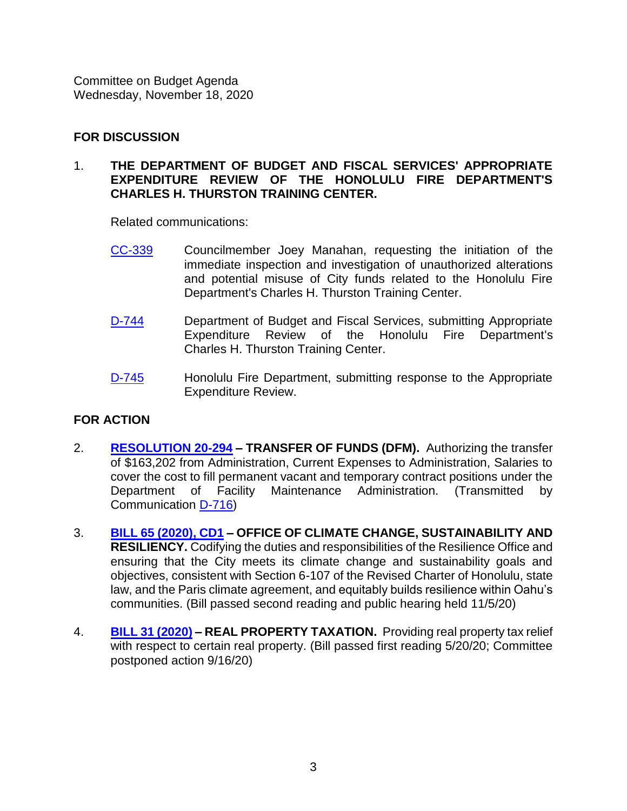# **FOR DISCUSSION**

## 1. **THE DEPARTMENT OF BUDGET AND FISCAL SERVICES' APPROPRIATE EXPENDITURE REVIEW OF THE HONOLULU FIRE DEPARTMENT'S CHARLES H. THURSTON TRAINING CENTER.**

Related communications:

- [CC-339](https://hnldoc.ehawaii.gov/hnldoc/document-download?id=8636) Councilmember Joey Manahan, requesting the initiation of the immediate inspection and investigation of unauthorized alterations and potential misuse of City funds related to the Honolulu Fire Department's Charles H. Thurston Training Center.
- [D-744](https://hnldoc.ehawaii.gov/hnldoc/document-download?id=8634) Department of Budget and Fiscal Services, submitting Appropriate Expenditure Review of the Honolulu Fire Department's Charles H. Thurston Training Center.
- [D-745](https://hnldoc.ehawaii.gov/hnldoc/document-download?id=8635) Honolulu Fire Department, submitting response to the Appropriate Expenditure Review.

## **FOR ACTION**

- 2. **[RESOLUTION 20-294](https://hnldoc.ehawaii.gov/hnldoc/document-download?id=8467) – TRANSFER OF FUNDS (DFM).** Authorizing the transfer of \$163,202 from Administration, Current Expenses to Administration, Salaries to cover the cost to fill permanent vacant and temporary contract positions under the Department of Facility Maintenance Administration. (Transmitted by Communication [D-716\)](https://hnldoc.ehawaii.gov/hnldoc/document-download?id=8455)
- 3. **[BILL 65 \(2020\), CD1](https://hnldoc.ehawaii.gov/hnldoc/document-download?id=8285) – OFFICE OF CLIMATE CHANGE, SUSTAINABILITY AND RESILIENCY.** Codifying the duties and responsibilities of the Resilience Office and ensuring that the City meets its climate change and sustainability goals and objectives, consistent with Section 6-107 of the Revised Charter of Honolulu, state law, and the Paris climate agreement, and equitably builds resilience within Oahu's communities. (Bill passed second reading and public hearing held 11/5/20)
- 4. **[BILL 31 \(2020\)](https://hnldoc.ehawaii.gov/hnldoc/document-download?id=5879) – REAL PROPERTY TAXATION.** Providing real property tax relief with respect to certain real property. (Bill passed first reading 5/20/20; Committee postponed action 9/16/20)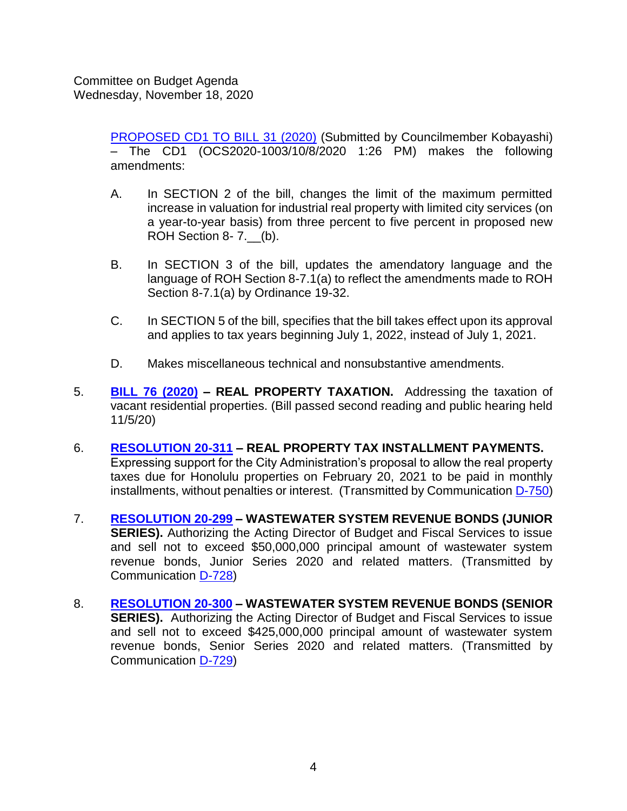> [PROPOSED CD1 TO BILL 31 \(2020\)](https://hnldoc.ehawaii.gov/hnldoc/document-download?id=8640) (Submitted by Councilmember Kobayashi) – The CD1 (OCS2020-1003/10/8/2020 1:26 PM) makes the following amendments:

- A. In SECTION 2 of the bill, changes the limit of the maximum permitted increase in valuation for industrial real property with limited city services (on a year-to-year basis) from three percent to five percent in proposed new ROH Section 8- 7.\_\_(b).
- B. In SECTION 3 of the bill, updates the amendatory language and the language of ROH Section 8-7.1(a) to reflect the amendments made to ROH Section 8-7.1(a) by Ordinance 19-32.
- C. In SECTION 5 of the bill, specifies that the bill takes effect upon its approval and applies to tax years beginning July 1, 2022, instead of July 1, 2021.
- D. Makes miscellaneous technical and nonsubstantive amendments.
- 5. **[BILL 76 \(2020\)](https://hnldoc.ehawaii.gov/hnldoc/document-download?id=7996) – REAL PROPERTY TAXATION.** Addressing the taxation of vacant residential properties. (Bill passed second reading and public hearing held 11/5/20)
- 6. **[RESOLUTION 20-311](https://hnldoc.ehawaii.gov/hnldoc/document-download?id=8651) – REAL PROPERTY TAX INSTALLMENT PAYMENTS.** Expressing support for the City Administration's proposal to allow the real property taxes due for Honolulu properties on February 20, 2021 to be paid in monthly installments, without penalties or interest. (Transmitted by Communication [D-750\)](https://hnldoc.ehawaii.gov/hnldoc/document-download?id=8650)
- 7. **[RESOLUTION 20-299](https://hnldoc.ehawaii.gov/hnldoc/document-download?id=8549) – WASTEWATER SYSTEM REVENUE BONDS (JUNIOR SERIES).** Authorizing the Acting Director of Budget and Fiscal Services to issue and sell not to exceed \$50,000,000 principal amount of wastewater system revenue bonds, Junior Series 2020 and related matters. (Transmitted by Communication [D-728\)](https://hnldoc.ehawaii.gov/hnldoc/document-download?id=8539)
- 8. **[RESOLUTION 20-300](https://hnldoc.ehawaii.gov/hnldoc/document-download?id=8550) – WASTEWATER SYSTEM REVENUE BONDS (SENIOR SERIES).** Authorizing the Acting Director of Budget and Fiscal Services to issue and sell not to exceed \$425,000,000 principal amount of wastewater system revenue bonds, Senior Series 2020 and related matters. (Transmitted by Communication [D-729\)](https://hnldoc.ehawaii.gov/hnldoc/document-download?id=8540)